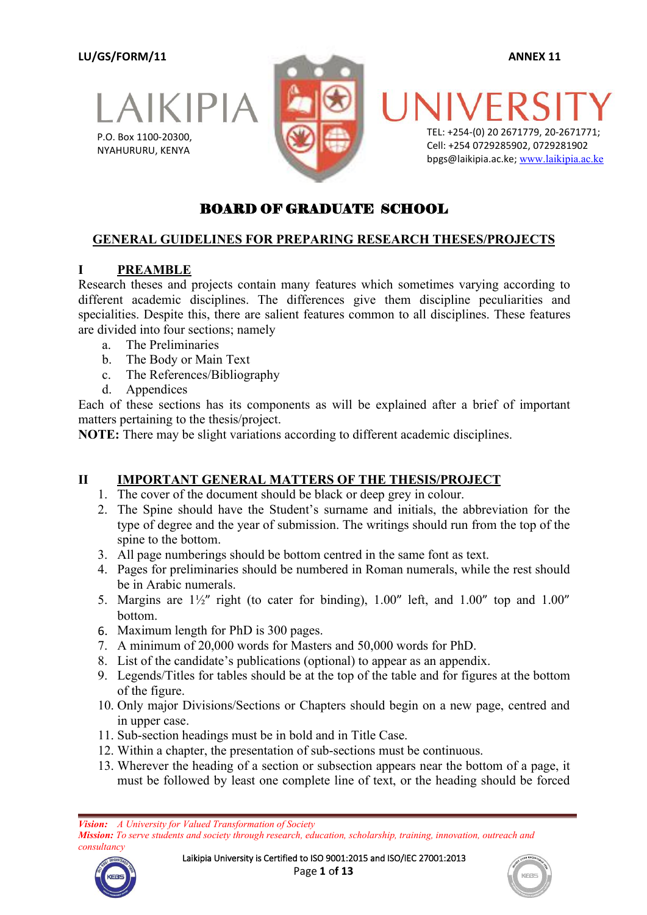**LU/GS/FORM/11 ANNEX 11**





TEL: +254-(0) 20 2671779, 20-2671771; Cell: +254 0729285902, 0729281902 bpgs@laikipia.ac.ke; [www.laikipia.ac.ke](http://www.laikipia.ac.ke/)

## BOARD OF GRADUATE SCHOOL

### **GENERAL GUIDELINES FOR PREPARING RESEARCH THESES/PROJECTS**

### **I PREAMBLE**

Research theses and projects contain many features which sometimes varying according to different academic disciplines. The differences give them discipline peculiarities and specialities. Despite this, there are salient features common to all disciplines. These features are divided into four sections; namely

- a. The Preliminaries
- b. The Body or Main Text
- c. The References/Bibliography
- d. Appendices

Each of these sections has its components as will be explained after a brief of important matters pertaining to the thesis/project.

**NOTE:** There may be slight variations according to different academic disciplines.

### **II IMPORTANT GENERAL MATTERS OF THE THESIS/PROJECT**

- 1. The cover of the document should be black or deep grey in colour.
- 2. The Spine should have the Student's surname and initials, the abbreviation for the type of degree and the year of submission. The writings should run from the top of the
- spine to the bottom.<br>3. All page numberings should be bottom centred in the same font as text.
- 4. Pages for preliminaries should be numbered in Roman numerals, while the rest should be in Arabic numerals.
- 5. Margins are  $1\frac{1}{2}$ " right (to cater for binding),  $1.00$ " left, and  $1.00$ " top and  $1.00$ " bottom.
- 6. Maximum length for PhD is 300 pages.
- 7. A minimum of 20,000 words for Masters and 50,000 words for PhD.
- 8. List of the candidate's publications (optional) to appear as an appendix.
- 9. Legends/Titles for tables should be at the top of the table and for figures at the bottom of the figure.
- 10. Only major Divisions/Sections or Chapters should begin on a new page, centred and in upper case.<br>11. Sub-section headings must be in bold and in Title Case.
- 
- 12. Within a chapter, the presentation of sub-sections must be continuous.
- 13. Wherever the heading of a section or subsection appears near the bottom of a page, it must be followed by least one complete line of text, or the heading should be forced

*Mission: To serve students and society through research, education, scholarship, training, innovation, outreach and consultancy*





*Vision: A University for Valued Transformation of Society*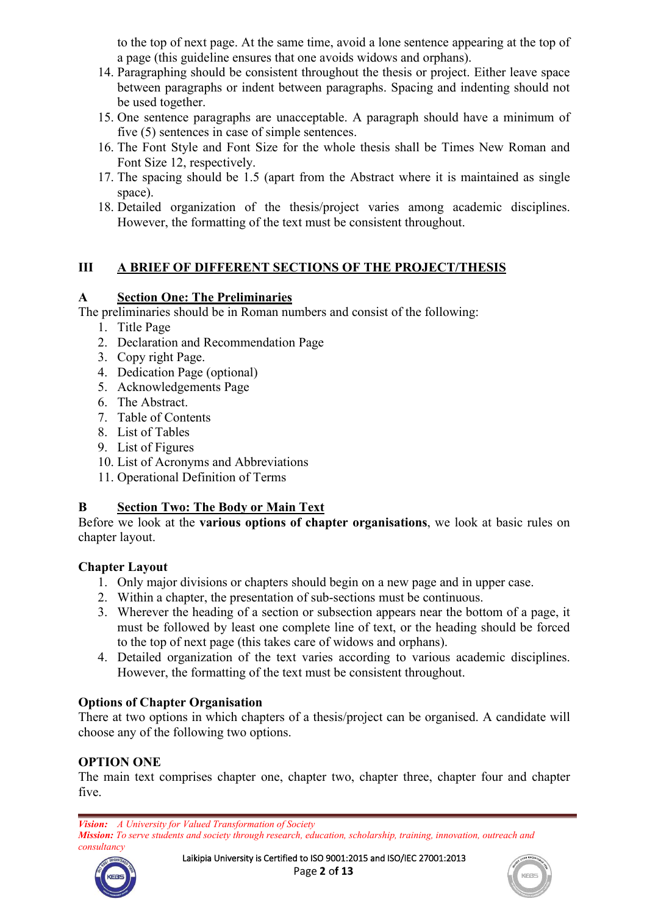to the top of next page. At the same time, avoid a lone sentence appearing at the top of a page (this guideline ensures that one avoids widows and orphans).

- 14. Paragraphing should be consistent throughout the thesis or project. Either leave space between paragraphs or indent between paragraphs. Spacing and indenting should not be used together.
- 15. One sentence paragraphs are unacceptable. A paragraph should have a minimum of five (5) sentences in case of simple sentences.
- 16. The Font Style and Font Size for the whole thesis shall be Times New Roman and Font Size 12, respectively.
- 17. The spacing should be 1.5 (apart from the Abstract where it is maintained as single space).
- 18. Detailed organization of the thesis/project varies among academic disciplines. However, the formatting of the text must be consistent throughout.

### **III A BRIEF OF DIFFERENT SECTIONS OF THE PROJECT/THESIS**

### **A Section One: The Preliminaries**

The preliminaries should be in Roman numbers and consist of the following:

- 1. Title Page
- 2. Declaration and Recommendation Page
- 3. Copy right Page.
- 4. Dedication Page (optional)
- 5. Acknowledgements Page
- 6. The Abstract.
- 7. Table of Contents
- 8. List of Tables
- 9. List of Figures
- 10. List of Acronyms and Abbreviations
- 11. Operational Definition of Terms

### **B Section Two: The Body or Main Text**

Before we look at the **various options of chapter organisations**, we look at basic rules on chapter layout.

### **Chapter Layout**

- 1. Only major divisions orchapters should begin on <sup>a</sup> new page and in uppercase.2. Within <sup>a</sup> chapter, the presentation of sub-sections must be continuous.
- 
- 3. Wherever the heading of a section or subsection appears near the bottom of a page, it must be followed by least one complete line of text, or the heading should be forced to the top of next page (this takes care of widows and orphans).
- 4. Detailed organization of the text varies according to various academic disciplines. However, the formatting of the text must be consistent throughout.

### **Options of Chapter Organisation**

There at two options in which chapters of a thesis/project can be organised. A candidate will choose any of the following two options.

## **OPTION ONE**

The main text comprises chapter one, chapter two, chapter three, chapter four and chapter five.

*Vision: A University for Valued Transformation of Society Mission: To serve students and society through research, education, scholarship, training, innovation, outreach and consultancy*



Laikipia University is Certified to ISO 9001:2015 and ISO/IEC 27001:2013 Page **2** o**f 13**

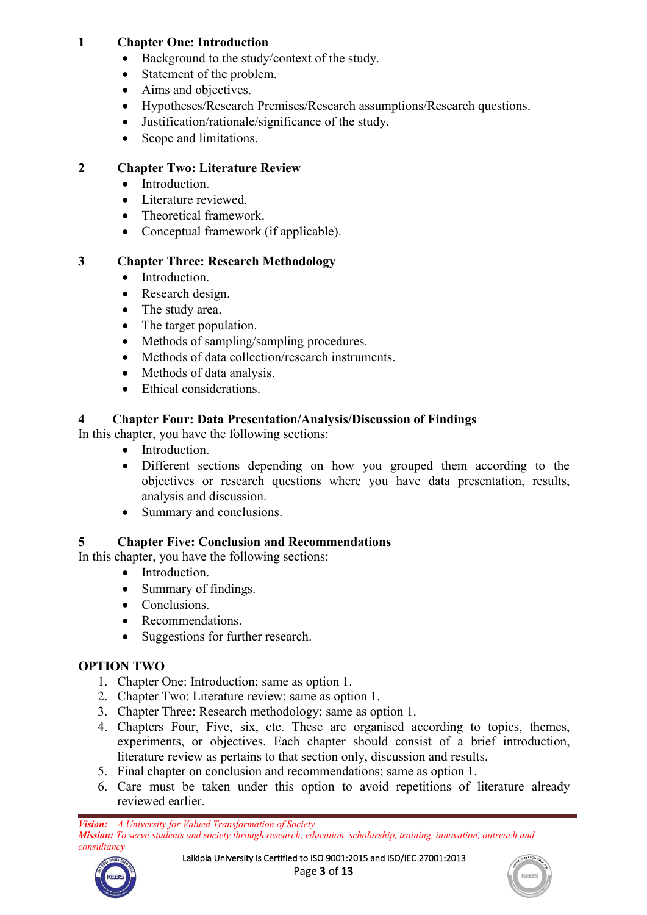### **1 Chapter One: Introduction**

- Background to the study/context of the study.
- Statement of the problem.
- Aims and objectives.
- Hypotheses/Research Premises/Research assumptions/Research questions.
- Justification/rationale/significance of the study.
- Scope and limitations.

## **2 Chapter Two: Literature Review**

- Introduction.
- **.** Literature reviewed
- Theoretical framework.
- Conceptual framework (if applicable).

## **3 Chapter Three: Research Methodology**

- Introduction.
- Research design.
- The study area.
- The target population.
- Methods of sampling/sampling procedures.
- Methods of data collection/research instruments.
- Methods of data analysis.
- Ethical considerations.

# **4 Chapter Four: Data Presentation/Analysis/Discussion of Findings**

In this chapter, you have the following sections:

- Introduction.
- Different sections depending on how you grouped them according to the objectives or research questions where you have data presentation, results, analysis and discussion.
- Summary and conclusions.

# **5 Chapter Five: Conclusion and Recommendations**

In this chapter, you have the following sections:

- Introduction.
- Summary of findings.
- Conclusions
- Recommendations.
- Suggestions for further research.

# **OPTION TWO**

- 1. Chapter One: Introduction; same as option 1.
- 2. Chapter Two: Literature review; same as option 1.
- 3. Chapter Three: Research methodology; same as option 1.
- 4. Chapters Four, Five, six, etc. These are organised according to topics, themes, experiments, or objectives. Each chapter should consist of a brief introduction, literature review as pertains to that section only, discussion and results.5. Final chapter on conclusion and recommendations; same asoption 1.
- 
- 6. Care must be taken under this option to avoid repetitions of literature already reviewed earlier.



Laikipia University is Certified to ISO 9001:2015 and ISO/IEC 27001:2013 Page **3** o**f 13**

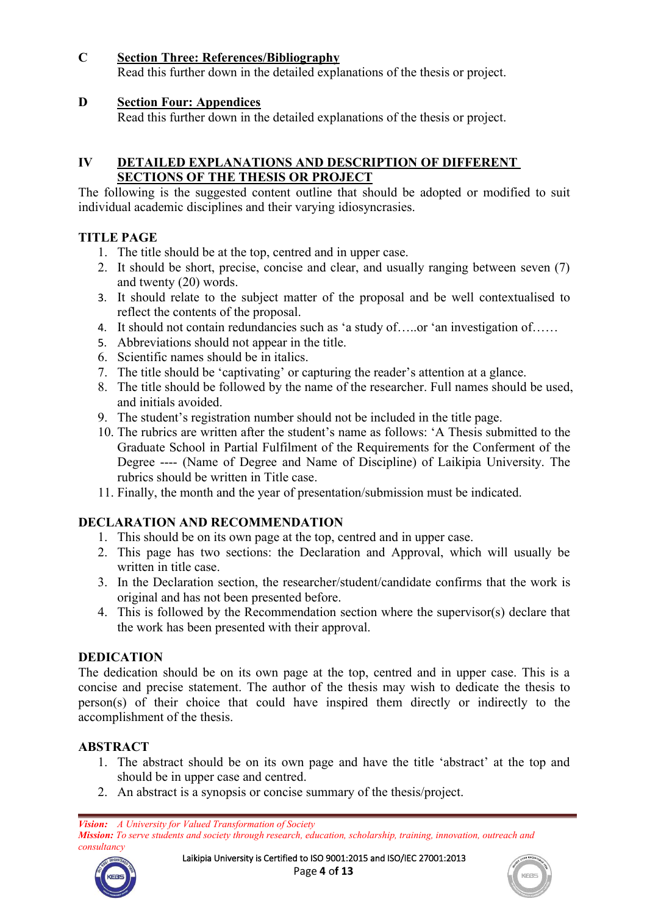### **C Section Three: References/Bibliography**

Read this further down in the detailed explanations of the thesis or project.

### **D Section Four: Appendices**

Read this further down in the detailed explanations of the thesis or project.

#### **IV DETAILED EXPLANATIONS AND DESCRIPTION OF DIFFERENT SECTIONS OF THE THESIS OR PROJECT**

The following is the suggested content outline that should be adopted or modified to suit individual academic disciplines and their varying idiosyncrasies.

### **TITLE PAGE**

- 
- 1. The title should be at the top, centred and in upper case.<br>2. It should be short, precise, concise and clear, and usually ranging between seven (7) and twenty (20) words.
- 3. It should relate to the subject matter of the proposal and be well contextualised to reflect the contents of the proposal.
- 4. It should not contain redundancies such as 'a study of…..or 'an investigation of……
- 5. Abbreviations should not appear in the title.
- 6. Scientific names should be in italics.
- 
- 7. The title should be 'captivating' or capturing the reader's attention at <sup>a</sup> glance.8. The title should be followed by the name of the researcher. Full names should be used, and initials avoided.
- 9. The student's registration number should not be included in the title page.
- 10. The rubrics are written after the student's name as follows: 'A Thesis submitted to the Graduate School in Partial Fulfilment of the Requirements for the Conferment of the Degree ---- (Name of Degree and Name of Discipline) of Laikipia University. The rubrics should be written in Title case.
- 11. Finally, the month and the year of presentation/submission must be indicated.

# **DECLARATION AND RECOMMENDATION**

- 
- 1. This should be on its own page at the top, centred and in upper case.2. This page has two sections: the Declaration and Approval, which will usually be written in title case.
- 3. In the Declaration section, the researcher/student/candidate confirms that the work is original and has not been presented before.
- 4. This is followed by the Recommendation section where the supervisor(s) declare that the work has been presented with their approval.

## **DEDICATION**

The dedication should be on its own page at the top, centred and in upper case. This is a concise and precise statement. The author of the thesis may wish to dedicate the thesis to person(s) of their choice that could have inspired them directly or indirectly to the accomplishment of the thesis.

## **ABSTRACT**

- 1. The abstract should be on its own page and have the title 'abstract' at the top and should be in upper case and centred.
- 2. An abstract is a synopsis or concise summary of the thesis/project.

*Vision: A University for Valued Transformation of Society*

*Mission: To serve students and society through research, education, scholarship, training, innovation, outreach and consultancy*



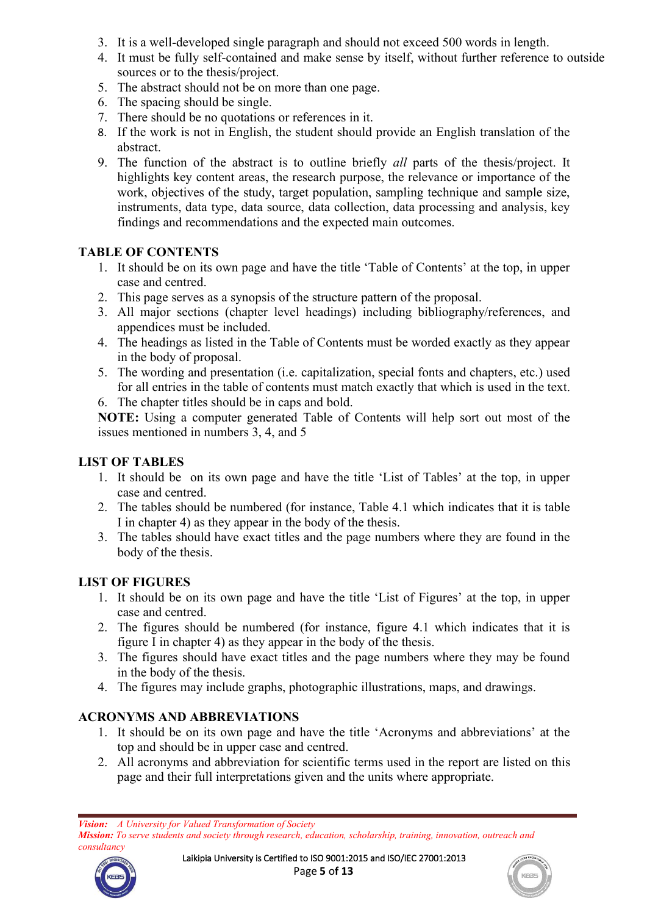- 3. It is a well-developed single paragraph and should not exceed 500 words in length.
- 4. It must be fully self-contained and make sense by itself, without further reference to outside sources or to the thesis/project.
- 5. The abstract should not be on more than one page.
- 6. The spacing should be single.
- 7. There should be no quotations or references in it.
- 8. If the work is not in English, the student should provide an English translation of the abstract.
- 9. The function of the abstract is to outline briefly *all* parts of the thesis/project. It highlights key content areas, the research purpose, the relevance or importance of the work, objectives of the study, target population, sampling technique and sample size, instruments, data type, data source, data collection, data processing and analysis, key findings and recommendations and the expected main outcomes.

### **TABLE OF CONTENTS**

- 1. It should be on its own page and have the title 'Table of Contents' at the top, in upper case and centred.
- 2. This page serves as a synopsis of the structure pattern of the proposal.
- 3. All major sections (chapter level headings) including bibliography/references, and appendices must be included.
- 4. The headings as listed in the Table of Contents must be worded exactly as they appear in the body of proposal.
- 5. The wording and presentation (i.e. capitalization, special fonts and chapters, etc.) used for all entries in the table of contents must match exactly that which is used in the text.

6. The chapter titles should be in caps and bold.

**NOTE:** Using a computer generated Table of Contents will help sort out most of the issues mentioned in numbers 3, 4, and 5

## **LIST OF TABLES**

- 1. It should be on its own page and have the title 'List of Tables' at the top, in upper case and centred.
- 2. The tables should be numbered (for instance, Table 4.1 which indicates that it is table I in chapter 4) as they appear in the body of the thesis.
- 3. The tables should have exact titles and the page numbers where they are found in the body of the thesis.

## **LIST OF FIGURES**

- 1. It should be on its own page and have the title 'List of Figures' at the top, in upper case and centred.
- 2. The figures should be numbered (for instance, figure 4.1 which indicates that it is figure I in chapter 4) as they appear in the body of the thesis.
- 3. The figures should have exact titles and the page numbers where they may be found in the body of the thesis.
- 4. The figures may include graphs, photographic illustrations, maps, and drawings.

## **ACRONYMS AND ABBREVIATIONS**

- 1. It should be on its own page and have the title 'Acronyms and abbreviations' atthe top and should be in upper case and centred.
- 2. All acronyms and abbreviation for scientific terms used in the report are listed on this page and their full interpretations given and the units where appropriate.

*Vision: A University for Valued Transformation of Society Mission: To serve students and society through research, education, scholarship, training, innovation, outreach and consultancy*



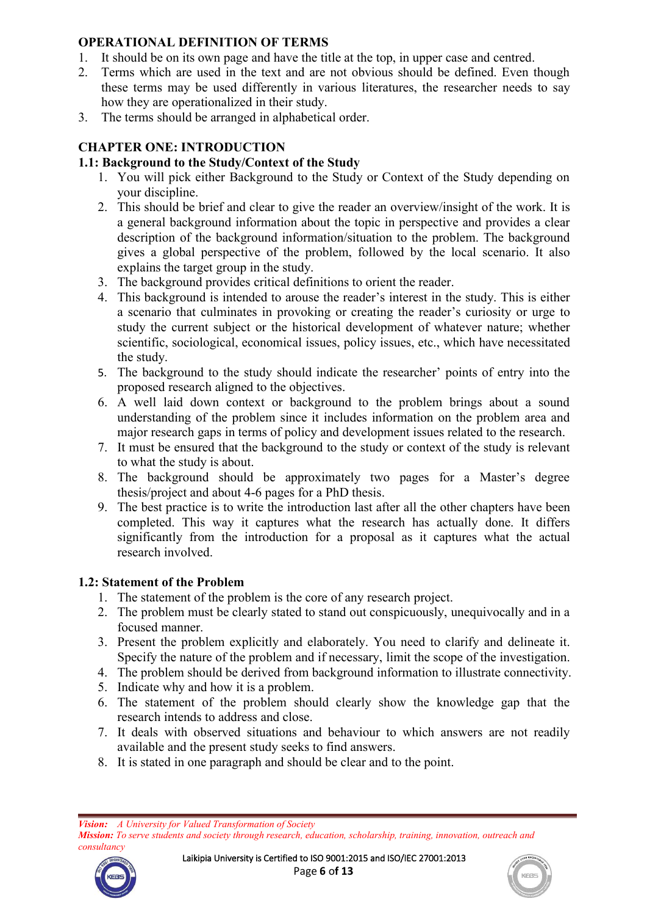### **OPERATIONAL DEFINITION OF TERMS**

- 1. It should be on its own page and have the title at the top, in upper case and centred.
- 2. Terms which are used in the text and are not obvious should be defined. Even though these terms may be used differently in various literatures, the researcher needs to say how they are operationalized in their study.
- 3. The terms should be arranged in alphabetical order.

## **CHAPTER ONE: INTRODUCTION**

## **1.1: Background tothe Study/Context of the Study**

- 1. You will pick either Background to the Study or Context of the Study depending on your discipline.
- 2. This should be brief and clear to give the reader an overview/insight of the work. It is a general background information about the topic in perspective and provides a clear description of the background information/situation to the problem. The background gives a global perspective of the problem, followed by the local scenario. It also explains the target group in the study.
- 3. The background provides critical definitions to orient the reader.
- 4. This background is intended to arouse the reader's interest in the study. This is either a scenario that culminates in provoking or creating the reader's curiosity or urge to study the current subject or the historical development of whatever nature; whether scientific, sociological, economical issues, policy issues, etc., which have necessitated the study.
- 5. The background to the study should indicate the researcher' points of entry into the proposed research aligned to the objectives.
- 6. A well laid down context or background to the problem brings about a sound understanding of the problem since it includes information on the problem area and major research gaps in terms of policy and development issues related to the research.
- 7. It must be ensured that the background to the study or context of the study is relevant to what the study is about.
- 8. The background should be approximately two pages for a Master's degree thesis/project and about 4-6 pages for a PhD thesis.
- 9. The best practice is to write the introduction last after all the other chapters have been completed. This way it captures what the research has actually done. It differs significantly from the introduction for a proposal as it captures what the actual research involved.

# **1.2: Statement of the Problem**

- 1. The statement of the problem is the core of any research project.
- 2. The problem must be clearly stated to stand out conspicuously, unequivocally and in a focused manner.
- 3. Present the problem explicitly and elaborately. You need to clarify and delineate it. Specify the nature of the problem and if necessary, limit the scope of the investigation.
- 4. The problem should be derived from background information to illustrate connectivity.
- 5. Indicate why and how it is a problem.
- 6. The statement of the problem should clearly show the knowledge gap that the research intends to address and close.
- 7. It deals with observed situations and behaviour to which answers are not readily available and the present study seeks to find answers.
- 8. It is stated in one paragraph and should be clear and to the point.

*Vision: A University for Valued Transformation of Society Mission: To serve students and society through research, education, scholarship, training, innovation, outreach and consultancy*



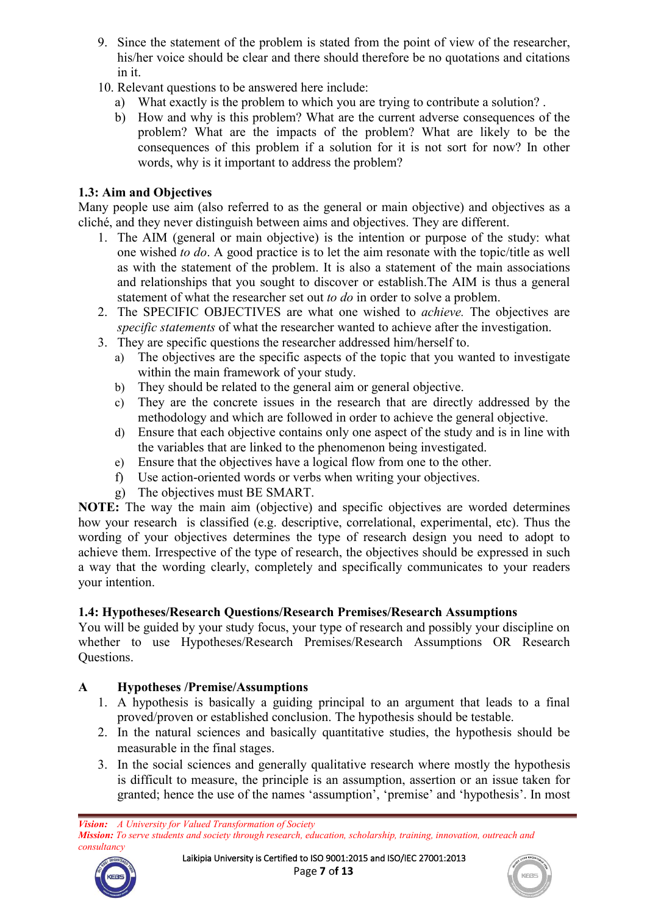- 9. Since the statement of the problem is stated from the point of view of the researcher, his/her voice should be clear and there should therefore be no quotations and citations in it.
- 10. Relevant questions to be answered here include:
	- a) What exactly is the problem to which you are trying to contribute a solution? .
	- b) How and why is this problem? What are the current adverse consequences of the problem? What are the impacts of the problem? What are likely to be the consequences of this problem if a solution for it is not sort for now? In other words, why is it important to address the problem?

## **1.3: Aim and Objectives**

Many people use aim (also referred to as the general or main objective) and objectives as a cliché, and they never distinguish between aims and objectives. They are different.

- 1. The AIM (general or main objective) is the intention or purpose of the study: what one wished *to do*. A good practice is to let the aim resonate with the topic/title aswell as with the statement of the problem. It is also a statement of the main associations and relationships that you sought to discover or establish.The AIM is thus a general statement of what the researcher set out *to do* in order to solve a problem.
- 2. The SPECIFIC OBJECTIVES are what one wished to *achieve.* The objectives are *specific statements* of what the researcher wanted to achieve after the investigation.
- 3. They are specific questions the researcher addressed him/herself to.
	- a) The objectives are the specific aspects of the topic that you wanted to investigate within the main framework of your study.
	- b) They should be related to the general aim or general objective.
	- c) They are the concrete issues in the research that are directly addressed by the methodology and which are followed in order to achieve the general objective.
	- d) Ensure that each objective contains only one aspect of the study and is in line with the variables that are linked to the phenomenon being investigated.
	- e) Ensure that the objectives have <sup>a</sup> logical flow from one to the other.f) Use action-oriented words orverbs when writing your objectives.
	-
	- g) The objectives must BE SMART.

**NOTE:** The way the main aim (objective) and specific objectives are worded determines how your research is classified (e.g. descriptive, correlational, experimental, etc). Thus the wording of your objectives determines the type of research design you need to adopt to achieve them. Irrespective of the type of research, the objectives should be expressed in such a way that the wording clearly, completely and specifically communicates to your readers your intention.

# **1.4: Hypotheses/Research Questions/Research Premises/Research Assumptions**

You will be guided by your study focus, your type of research and possibly your discipline on whether to use Hypotheses/Research Premises/Research Assumptions OR Research Questions.

# **A Hypotheses /Premise/Assumptions**

- 1. A hypothesis is basically a guiding principal to an argument that leads to a final proved/proven or established conclusion. The hypothesis should be testable.<br>2. In the natural sciences and basically quantitative studies, the hypothesis should be
- measurable in the final stages.
- 3. In the social sciences and generally qualitative research where mostly the hypothesis is difficult to measure, the principle is an assumption, assertion or an issue taken for granted; hence the use of the names 'assumption', 'premise' and 'hypothesis'. In most

*Vision: A University for Valued Transformation of Society Mission: To serve students and society through research, education, scholarship, training, innovation, outreach and consultancy*



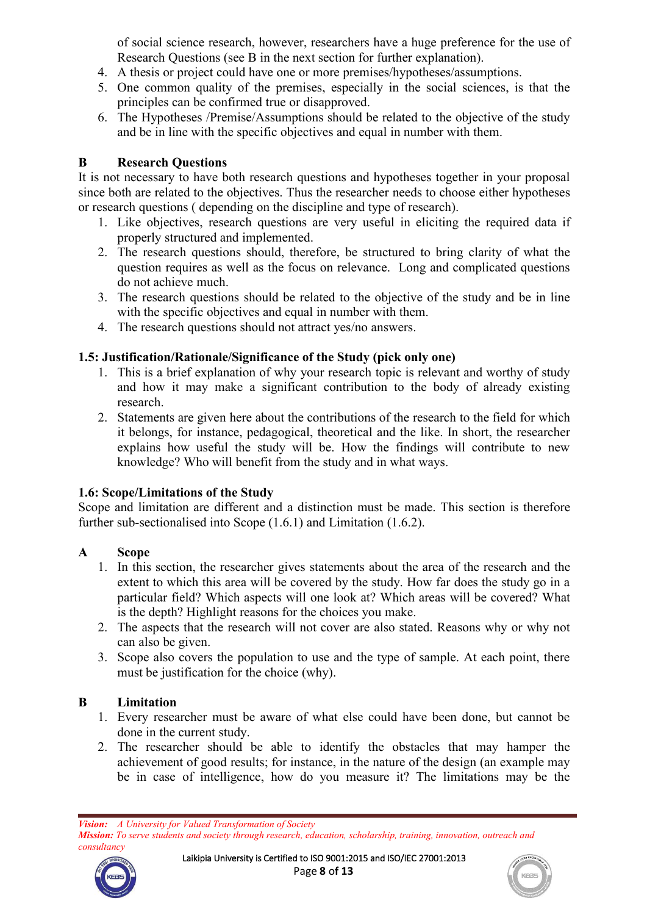of social science research, however, researchers have a huge preference for the use of Research Questions (see B in the next section for further explanation).

- 4. A thesis or project could have one or more premises/hypotheses/assumptions.
- 5. One common quality of the premises, especially in the social sciences, is that the principles can be confirmed true or disapproved.
- 6. The Hypotheses /Premise/Assumptions should be related to the objective of the study and be in line with the specific objectives and equal in number with them.

### **B Research Questions**

It is not necessary to have both research questions and hypotheses together in your proposal since both are related to the objectives. Thus the researcher needs to choose either hypotheses or research questions ( depending on the discipline and type of research).

- 1. Like objectives, research questions are very useful in eliciting the required data if properly structured and implemented.
- 2. The research questions should, therefore, be structured to bring clarity of what the question requires as well as the focus on relevance. Long and complicated questions do not achieve much.
- 3. The research questions should be related to the objective of the study and be in line with the specific objectives and equal in number with them.
- 4. The research questions should not attract yes/no answers.

### **1.5: Justification/Rationale/Significance of the Study (pick only one)**

- 1. This is a brief explanation of why your research topic is relevant and worthy of study and how it may make a significant contribution to the body of already existing research.
- 2. Statements are given here about the contributions of the research to the field for which it belongs, for instance, pedagogical, theoretical and the like. In short, the researcher explains how useful the study will be. How the findings will contribute to new knowledge? Who will benefit from the study and in what ways.

### **1.6: Scope/Limitations of the Study**

Scope and limitation are different and a distinction must be made. This section is therefore further sub-sectionalised into Scope (1.6.1) and Limitation (1.6.2).

## **A Scope**

- 1. In this section, the researcher gives statements about the area of the research and the extent to which this area will be covered by the study. How far does the study go in a particular field? Which aspects will one look at? Which areas will be covered? What is the depth? Highlight reasons for the choices you make.
- 2. The aspects that the research will not cover are also stated. Reasons why or why not can also be given.
- 3. Scope also covers the population to use and the type of sample. At each point, there must be justification for the choice (why).

## **B Limitation**

- 1. Every researcher must be aware of what else could have been done, but cannot be done in the current study.
- 2. The researcher should be able to identify the obstacles that may hamper the achievement of good results; for instance, in the nature of the design (an example may be in case of intelligence, how do you measure it? The limitations may be the

*Vision: A University for Valued Transformation of Society Mission: To serve students and society through research, education, scholarship, training, innovation, outreach and consultancy*



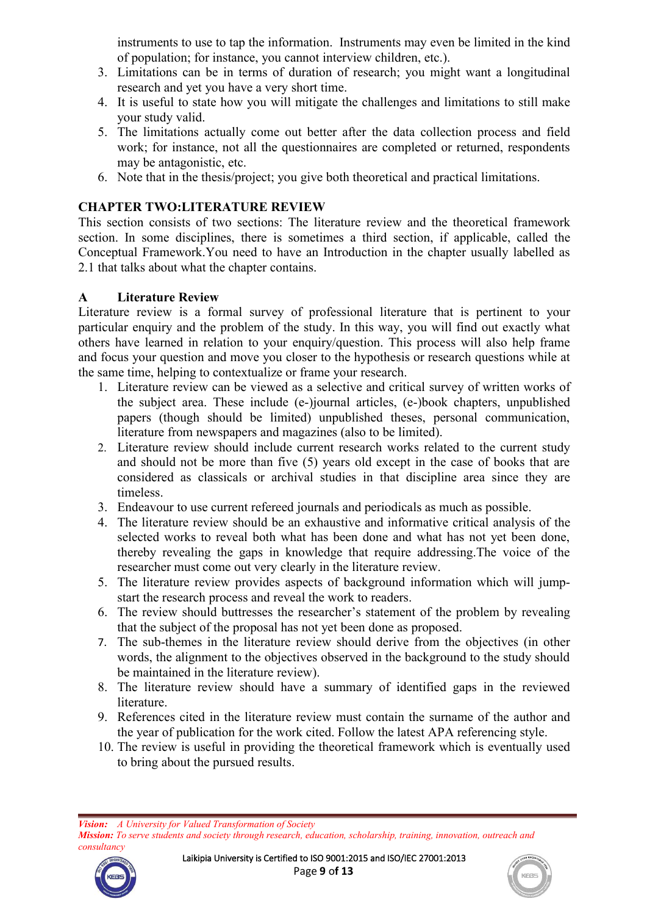instruments to use to tap the information. Instruments may even be limited in the kind of population; for instance, you cannot interview children, etc.).

- 3. Limitations can be in terms of duration of research; you might want a longitudinal research and yet you have a very short time.
- 4. It is useful to state how you will mitigate the challenges and limitations to still make your study valid.
- 5. The limitations actually come out better after the data collection process and field work; for instance, not all the questionnaires are completed or returned, respondents may be antagonistic, etc.
- 6. Note that in the thesis/project; you give both theoretical and practical limitations.

### **CHAPTER TWO:LITERATURE REVIEW**

This section consists of two sections: The literature review and the theoretical framework section. In some disciplines, there is sometimes a third section, if applicable, called the Conceptual Framework.You need to have an Introduction in the chapter usually labelled as 2.1 that talks about what the chapter contains.

### **A Literature Review**

Literature review is a formal survey of professional literature that is pertinent to your particular enquiry and the problem of the study. In this way, you will find out exactly what others have learned in relation to your enquiry/question. This process will also help frame and focus your question and move you closer to the hypothesis or research questions while at the same time, helping to contextualize or frame your research.

- 1. Literature review can be viewed as a selective and critical survey of written works of the subject area. These include (e-)journal articles, (e-)book chapters, unpublished papers (though should be limited) unpublished theses, personal communication, literature from newspapers and magazines (also to be limited).
- 2. Literature review should include current research works related to the current study and should not be more than five (5) years old except in the case of books that are considered as classicals or archival studies in that discipline area since they are timeless.
- 3. Endeavour to use current refereed journals and periodicals as much as possible.
- 4. The literature review should be an exhaustive and informative critical analysis of the selected works to reveal both what has been done and what has not yet been done, thereby revealing the gaps in knowledge that require addressing.The voice of the researcher must come out very clearly in the literature review.
- 5. The literature review provides aspects of background information which will jump start the research process and reveal the work to readers.
- 6. The review should buttresses the researcher's statement of the problem by revealing that the subject of the proposal has not yet been done as proposed.
- 7. The sub-themes in the literature review should derive from the objectives (in other words, the alignment to the objectives observed in the background to the study should be maintained in the literature review).
- 8. The literature review should have a summary of identified gaps in the reviewed literature.
- 9. References cited in the literature review must contain the surname of the author and the year of publication for the work cited. Follow the latest APA referencing style.
- 10. The review is useful in providing the theoretical framework which is eventually used to bring about the pursued results.

*Vision: A University for Valued Transformation of Society Mission: To serve students and society through research, education, scholarship, training, innovation, outreach and consultancy*



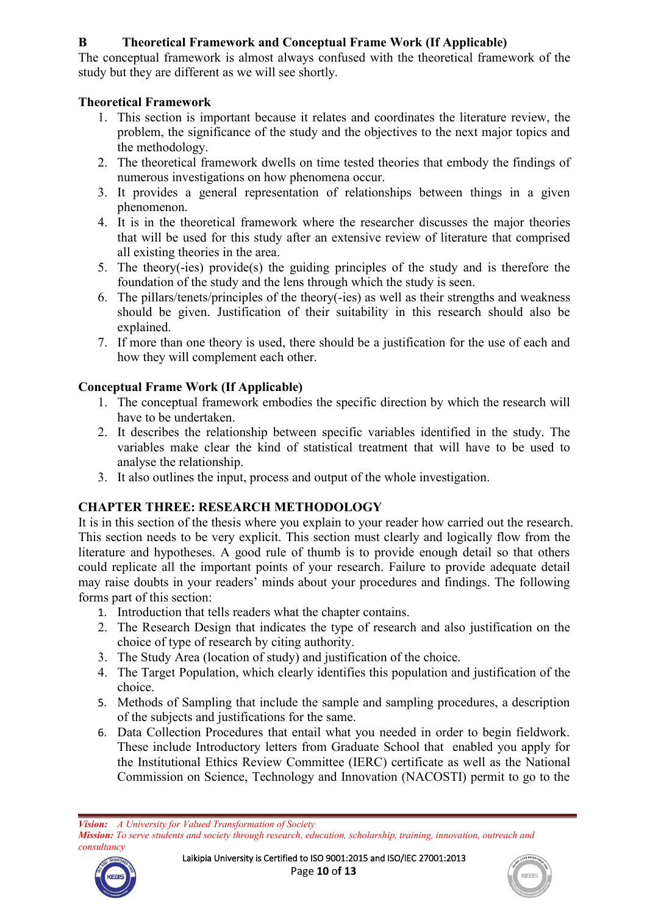# **B Theoretical Framework and Conceptual Frame Work (If Applicable)**

The conceptual framework is almost always confused with the theoretical framework of the study but they are different as we will see shortly.

## **Theoretical Framework**

- 1. This section is important because it relates and coordinates the literature review, the problem, the significance of the study and the objectives to the next major topics and the methodology.
- 2. The theoretical framework dwells on time tested theories that embody the findings of numerous investigations on how phenomena occur.
- 3. It provides a general representation of relationships between things in a given phenomenon.
- 4. It is in the theoretical framework where the researcher discusses the major theories that will be used for this study after an extensive review of literature that comprised all existing theories in the area.
- 5. The theory(-ies) provide(s) the guiding principles of the study and is therefore the foundation of the study and the lens through which the study is seen.
- 6. The pillars/tenets/principles of the theory(-ies) as well as their strengths and weakness should be given. Justification of their suitability in this research should also be explained.
- 7. If more than one theory is used, there should be a justification for the use of each and how they will complement each other.

## **Conceptual Frame Work (If Applicable)**

- 1. The conceptual framework embodies the specific direction by which the research will have to be undertaken.
- 2. It describes the relationship between specific [variables](http://schools-education.knoji.com/what-is-a-variable/) identified in the study. The variables make clear the kind of statistical treatment that will have to be used to analyse the relationship.
- 3. It also outlines the input, process and output of the whole investigation.

## **CHAPTER THREE: RESEARCH METHODOLOGY**

It is in this section of the thesis where you explain to your reader how carried out the research. This section needs to be very explicit. This section must clearly and logically flow from the literature and hypotheses. A good rule of thumb is to provide enough detail so that others could replicate all the important points of your research. Failure to provide adequate detail may raise doubts in your readers' minds about your procedures and findings. The following forms part of this section:

- 1. Introduction that tells readers what the chapter contains.
- 2. The Research Design that indicates the type of research and also justification on the choice of type of research by citing authority.
- 3. The Study Area (location of study) and justification of the choice.
- 4. The Target Population, which clearly identifies this population and justification of the choice.
- 5. Methods of Sampling that include the sample and sampling procedures, a description of the subjects and justifications for the same.
- 6. Data Collection Procedures that entail what you needed in order to begin fieldwork. These include Introductory letters from Graduate School that enabled you apply for the Institutional Ethics Review Committee (IERC) certificate as well as the National Commission on Science, Technology and Innovation (NACOSTI) permit to go to the

*Vision: A University for Valued Transformation of Society Mission: To serve students and society through research, education, scholarship, training, innovation, outreach and consultancy*



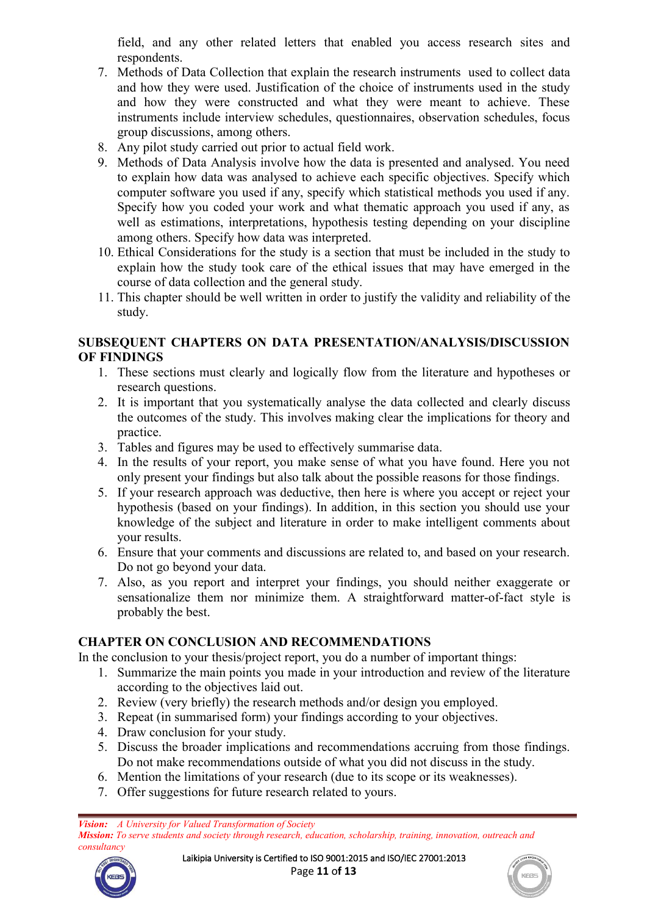field, and any other related letters that enabled you access research sites and respondents.

- 7. Methods of Data Collection that explain the research instruments used to collect data and how they were used. Justification of the choice of instruments used in the study and how they were constructed and what they were meant to achieve. These instruments include interview schedules, questionnaires, observation schedules, focus group discussions, among others.
- 8. Any pilot study carried out prior to actual field work.
- 9. Methods of Data Analysis involve how the data is presented and analysed. You need to explain how data was analysed to achieve each specific objectives. Specify which computer software you used if any, specify which statistical methods you used if any. Specify how you coded your work and what thematic approach you used if any, as well as estimations, interpretations, hypothesis testing depending on your discipline among others. Specify how data was interpreted.
- 10. Ethical Considerations for the study is a section that must be included in the study to explain how the study took care of the ethical issues that may have emerged in the course of data collection and the general study.
- 11. This chapter should be well written in order to justify the validity and reliability of the study.

#### **SUBSEQUENT CHAPTERS ON DATA PRESENTATION/ANALYSIS/DISCUSSION OF FINDINGS**

- 1. These sections must clearly and logically flow from the literature and hypotheses or research questions.
- 2. It is important that you systematically analyse the data collected and clearly discuss the outcomes of the study. This involves making clear the implications for theory and practice.
- 3. Tables and figures may be used to effectively summarise data.
- 4. In the results of your report, you make sense of what you have found. Here you not only present your findings but also talk about the possible reasons for those findings.
- 5. If your research approach was deductive, then here is where you accept or reject your hypothesis (based on your findings). In addition, in this section you should use your knowledge of the subject and literature in order to make intelligent comments about your results.
- 6. Ensure that your comments and discussions are related to, and based on your research. Do not go beyond your data.
- 7. Also, as you report and interpret your findings, you should neither exaggerate or sensationalize them nor minimize them. A straightforward matter-of-fact style is probably the best.

### **CHAPTER ON CONCLUSION AND RECOMMENDATIONS**

In the conclusion to your thesis/project report, you do a number of important things:

- 1. Summarize the main points you made in your introduction and review of the literature according to the objectives laid out.
- 2. Review (very briefly) the research methods and/or design you employed.
- 3. Repeat (in summarised form) your findings according to your objectives.
- 4. Draw conclusion for your study.
- 5. Discuss the broader implications and recommendations accruing from those findings. Do not make recommendations outside of what you did not discuss in the study.
- 6. Mention the limitations of your research (due to its scope or its weaknesses).
- 7. Offer suggestions for future research related to yours.

*Vision: A University for Valued Transformation of Society Mission: To serve students and society through research, education, scholarship, training, innovation, outreach and consultancy*



Laikipia University is Certified to ISO 9001:2015 and ISO/IEC 27001:2013 Page **11** o**f 13**

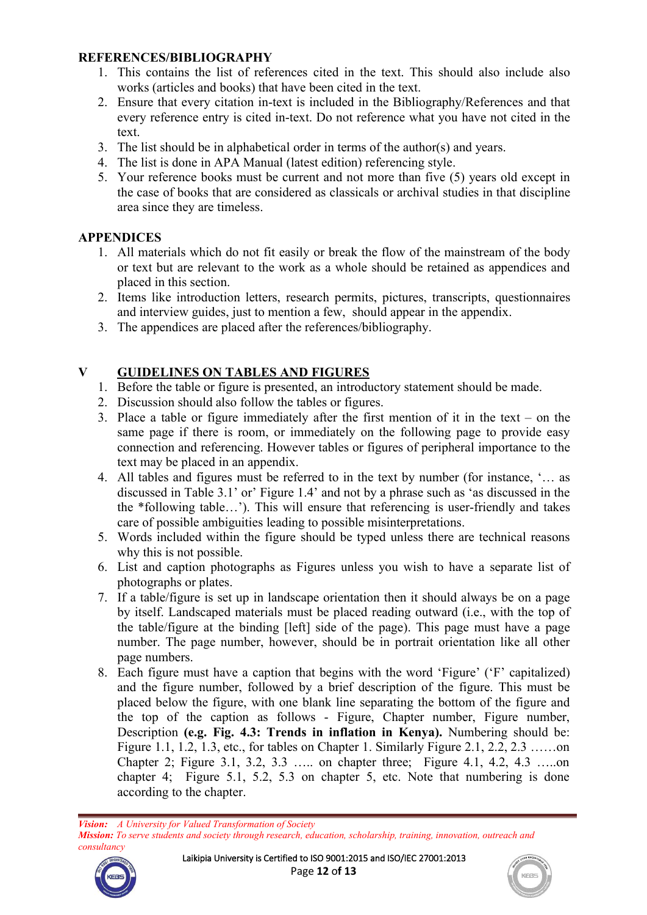### **REFERENCES/BIBLIOGRAPHY**

- 1. This contains the list of references cited in the text. This should also include also works (articles and books) that have been cited in the text.
- 2. Ensure that every citation in-text is included in the Bibliography/References and that every reference entry is cited in-text. Do not reference what you have not cited in the text.
- 3. The list should be in alphabetical order in terms of the author(s) and years.
- 4. The list is done in APA Manual (latest edition) referencing style.
- 5. Your reference books must be current and not more than five (5) years old except in the case of books that are considered as classicals or archival studies in that discipline area since they are timeless.

## **APPENDICES**

- 1. All materials which do not fit easily or break the flow of the mainstream of the body or text but are relevant to the work as a whole should be retained as appendices and placed in this section.
- 2. Items like introduction letters, research permits, pictures, transcripts, questionnaires and interview guides, just to mention a few, should appear in the appendix.
- 3. The appendices are placed after the references/bibliography.

# **V GUIDELINES ON TABLES AND FIGURES**

- 1. Before the table or figure is presented, an introductory statement should be made.
- 2. Discussion should also follow the tables or figures.
- 3. Place a table or figure immediately after the first mention of it in the text on the same page if there is room, or immediately on the following page to provide easy connection and referencing. However tables or figures of peripheral importance to the text may be placed in an appendix.
- 4. All tables and figures must be referred to in the text by number (for instance, '… as discussed in Table 3.1' or' Figure 1.4' and not by a phrase such as 'as discussed in the the \*following table…'). This will ensure that referencing is user-friendly and takes care of possible ambiguities leading to possible misinterpretations.
- 5. Words included within the figure should be typed unless there are technical reasons why this is not possible.
- 6. List and caption photographs as Figures unless you wish to have a separate list of photographs or plates.
- 7. If a table/figure is set up in landscape orientation then it should always be on a page by itself. Landscaped materials must be placed reading outward (i.e., with the top of the table/figure at the binding [left] side of the page). This page must have a page number. The page number, however, should be in portrait orientation like all other page numbers.
- 8. Each figure must have a caption that begins with the word 'Figure' ('F' capitalized) and the figure number, followed by a brief description of the figure. This must be placed below the figure, with one blank line separating the bottom of the figure and the top of the caption as follows - Figure, Chapter number, Figure number, Description **(e.g. Fig. 4.3: Trends in inflation in Kenya).** Numbering should be: Figure 1.1, 1.2, 1.3, etc., for tables on Chapter 1. Similarly Figure 2.1, 2.2, 2.3 ……on Chapter 2; Figure 3.1, 3.2, 3.3 ….. on chapter three; Figure 4.1, 4.2, 4.3 …..on chapter 4; Figure 5.1, 5.2, 5.3 on chapter 5, etc. Note that numbering is done according to the chapter.

*Vision: A University for Valued Transformation of Society Mission: To serve students and society through research, education, scholarship, training, innovation, outreach and*



*consultancy*